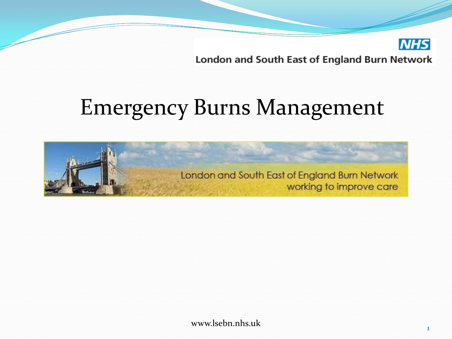#### Emergency Burns Management



www.lsebn.nhs.uk

**NHS**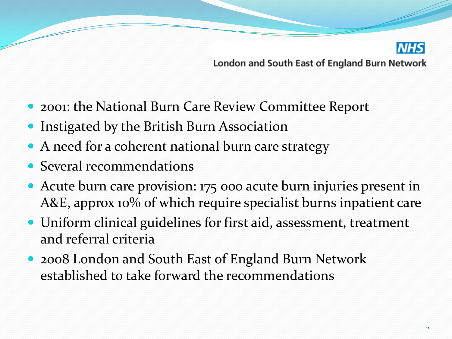

- 2001: the National Burn Care Review Committee Report
- Instigated by the British Burn Association
- A need for a coherent national burn care strategy
- Several recommendations
- Acute burn care provision: 175 000 acute burn injuries present in A&E, approx 10% of which require specialist burns inpatient care
- Uniform clinical guidelines for first aid, assessment, treatment and referral criteria
- 2008 London and South East of England Burn Network established to take forward the recommendations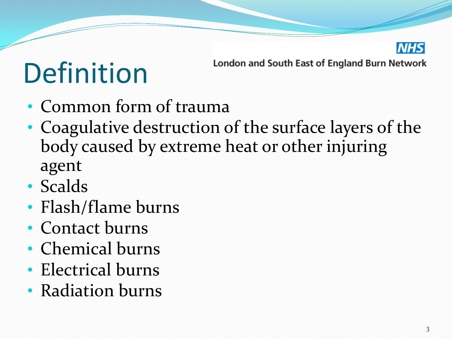

### Definition

- Common form of trauma
- Coagulative destruction of the surface layers of the body caused by extreme heat or other injuring agent
- Scalds
- Flash/flame burns
- Contact burns
- Chemical burns
- Electrical burns
- Radiation burns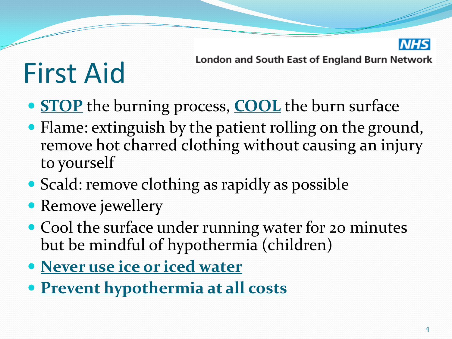

### First Aid

- **STOP** the burning process, **COOL** the burn surface
- Flame: extinguish by the patient rolling on the ground, remove hot charred clothing without causing an injury to yourself
- Scald: remove clothing as rapidly as possible
- Remove jewellery
- Cool the surface under running water for 20 minutes but be mindful of hypothermia (children)
- **Never use ice or iced water**
- **Prevent hypothermia at all costs**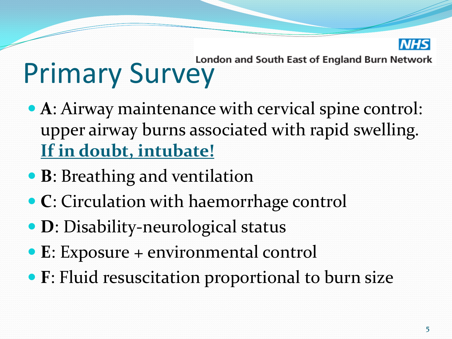

# London and South East of England Burn Network<br>Primary Survey

- **A**: Airway maintenance with cervical spine control: upper airway burns associated with rapid swelling. **If in doubt, intubate!**
- **B**: Breathing and ventilation
- **C**: Circulation with haemorrhage control
- **D**: Disability-neurological status
- **E**: Exposure + environmental control
- **F**: Fluid resuscitation proportional to burn size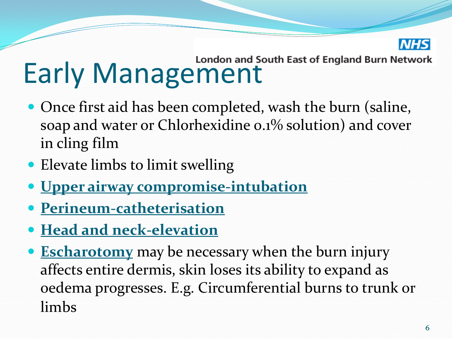

## Early Management

- Once first aid has been completed, wash the burn (saline, soap and water or Chlorhexidine 0.1% solution) and cover in cling film
- Elevate limbs to limit swelling
- **Upper airway compromise-intubation**
- **Perineum-catheterisation**
- **Head and neck-elevation**
- **Escharotomy** may be necessary when the burn injury affects entire dermis, skin loses its ability to expand as oedema progresses. E.g. Circumferential burns to trunk or limbs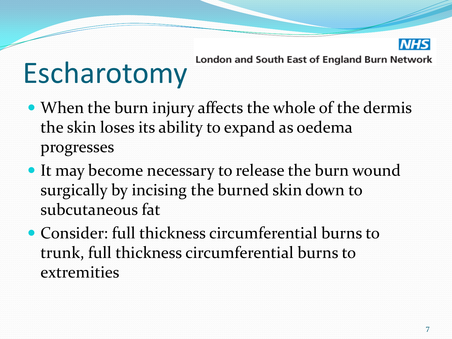

### Escharotomy

- When the burn injury affects the whole of the dermis the skin loses its ability to expand as oedema progresses
- It may become necessary to release the burn wound surgically by incising the burned skin down to subcutaneous fat
- Consider: full thickness circumferential burns to trunk, full thickness circumferential burns to extremities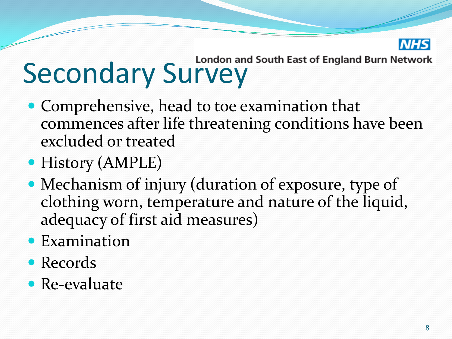

# Secondary Survey<br>Secondary Survey

- Comprehensive, head to toe examination that commences after life threatening conditions have been excluded or treated
- History (AMPLE)
- Mechanism of injury (duration of exposure, type of clothing worn, temperature and nature of the liquid, adequacy of first aid measures)
- Examination
- Records
- Re-evaluate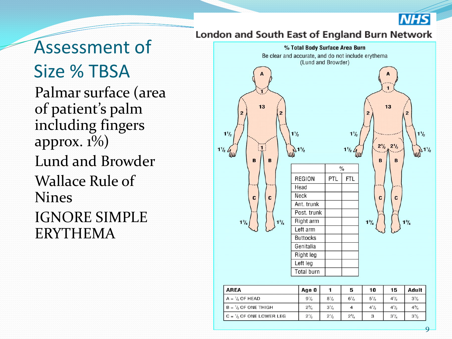

Assessment of Size % TBSA Palmar surface (area of patient's palm including fingers approx.  $1\%$ ) Lund and Browder Wallace Rule of Nines IGNORE SIMPLE ERYTHEMA

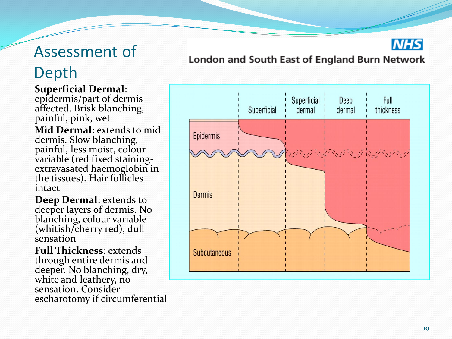#### Assessment of

#### Depth

#### **Superficial Dermal**:

epidermis/part of dermis affected. Brisk blanching, painful, pink, wet **Mid Dermal**: extends to mid dermis. Slow blanching, painful, less moist, colour variable (red fixed staining extravasated haemoglobin in the tissues). Hair follicles intact

**Deep Dermal**: extends to deeper layers of dermis. No blanching, colour variable (whitish/cherry red), dull sensation

**Full Thickness**: extends through entire dermis and deeper. No blanching, dry, white and leathery, no sensation. Consider escharotomy if circumferential

#### London and South East of England Burn Network



**NHS**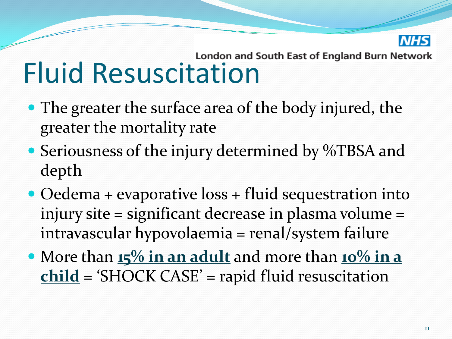

# Eluid Resuscitation and South East of England Burn Network

- The greater the surface area of the body injured, the greater the mortality rate
- Seriousness of the injury determined by %TBSA and depth
- Oedema + evaporative loss + fluid sequestration into injury site = significant decrease in plasma volume = intravascular hypovolaemia = renal/system failure
- More than **15% in an adult** and more than **10% in a child** = 'SHOCK CASE' = rapid fluid resuscitation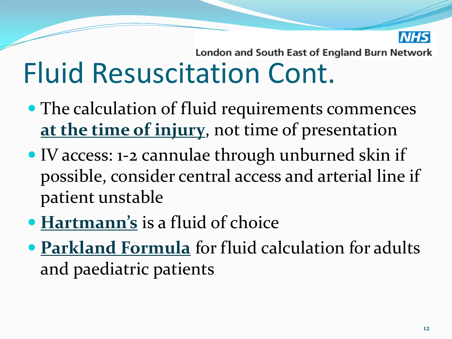

#### London and South East of England Burn Network Fluid Resuscitation Cont.

- The calculation of fluid requirements commences **at the time of injury**, not time of presentation
- IV access: 1-2 cannulae through unburned skin if possible, consider central access and arterial line if patient unstable
- **Hartmann's** is a fluid of choice
- **Parkland Formula** for fluid calculation for adults and paediatric patients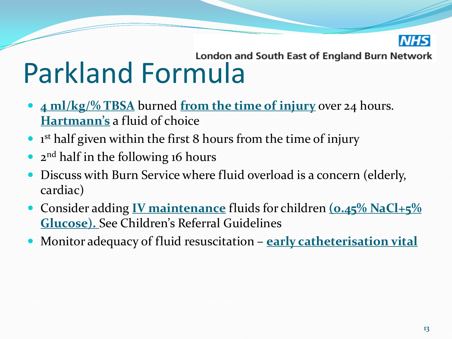

# London and South East of England Burn Network<br>Parkland Formula

- **4 ml/kg/% TBSA** burned **from the time of injury** over 24 hours. **Hartmann's** a fluid of choice
- 1<sup>st</sup> half given within the first 8 hours from the time of injury
- 2<sup>nd</sup> half in the following 16 hours
- Discuss with Burn Service where fluid overload is a concern (elderly, cardiac)
- Consider adding **IV maintenance** fluids for children **(0.45% NaCl+5% Glucose).** See Children's Referral Guidelines
- Monitor adequacy of fluid resuscitation **early catheterisation vital**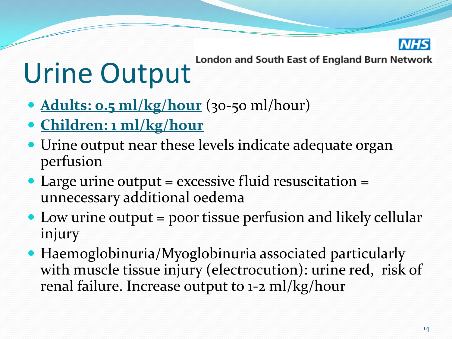

#### London and South East of England Burn Network Urine Output

- **Adults: 0.5 ml/kg/hour** (30-50 ml/hour)
- **Children: 1 ml/kg/hour**
- Urine output near these levels indicate adequate organ perfusion
- Large urine output  $=$  excessive fluid resuscitation  $=$ unnecessary additional oedema
- Low urine output = poor tissue perfusion and likely cellular injury
- Haemoglobinuria/Myoglobinuria associated particularly with muscle tissue injury (electrocution): urine red, risk of renal failure. Increase output to 1-2 ml/kg/hour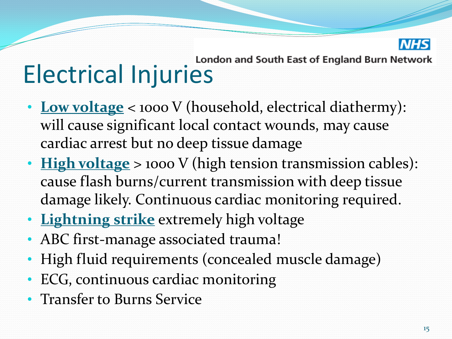

## London and South East of England Burn Network<br>Electrical Injuries

- Low voltage < 1000 V (household, electrical diathermy): will cause significant local contact wounds, may cause cardiac arrest but no deep tissue damage
- **High voltage** > 1000 V (high tension transmission cables): cause flash burns/current transmission with deep tissue damage likely. Continuous cardiac monitoring required.
- **Lightning strike** extremely high voltage
- ABC first-manage associated trauma!
- High fluid requirements (concealed muscle damage)
- ECG, continuous cardiac monitoring
- Transfer to Burns Service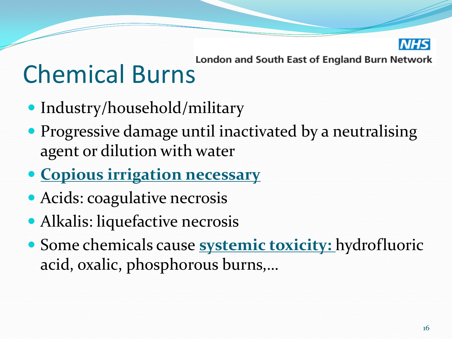

### London and South East of England Burn Network<br>Chemical Burns

- Industry/household/military
- Progressive damage until inactivated by a neutralising agent or dilution with water
- **Copious irrigation necessary**
- Acids: coagulative necrosis
- Alkalis: liquefactive necrosis
- Some chemicals cause **systemic toxicity:** hydrofluoric acid, oxalic, phosphorous burns,…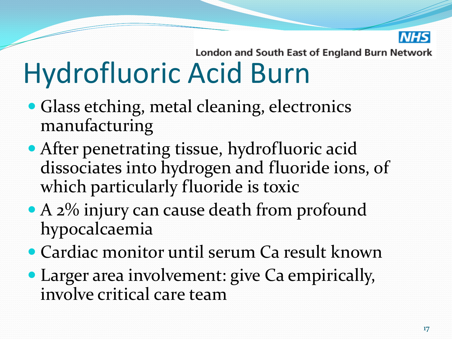

#### London and South East of England Burn Network Hydrofluoric Acid Burn

- Glass etching, metal cleaning, electronics manufacturing
- After penetrating tissue, hydrofluoric acid dissociates into hydrogen and fluoride ions, of which particularly fluoride is toxic
- A 2% injury can cause death from profound hypocalcaemia
- Cardiac monitor until serum Ca result known
- Larger area involvement: give Ca empirically, involve critical care team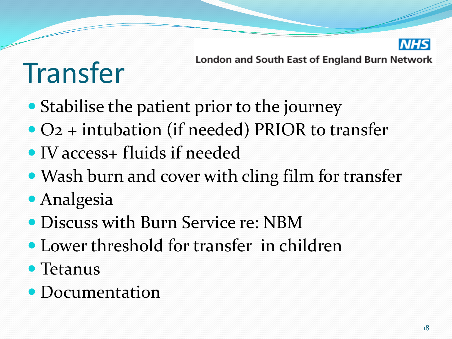

### Transfer

- London and South East of England Burn Network
- Stabilise the patient prior to the journey
- O2 + intubation (if needed) PRIOR to transfer
- IV access+ fluids if needed
- Wash burn and cover with cling film for transfer
- Analgesia
- Discuss with Burn Service re: NBM
- Lower threshold for transfer in children
- Tetanus
- Documentation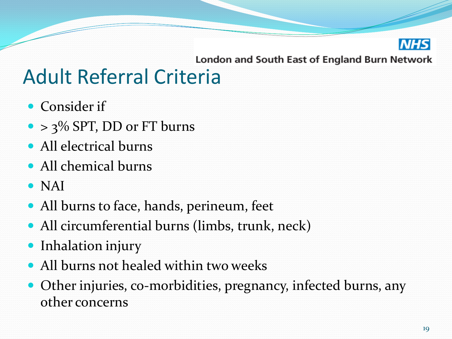

#### Adult Referral Criteria

- Consider if
- $\bullet$  > 3% SPT, DD or FT burns
- All electrical burns
- All chemical burns
- NAI
- All burns to face, hands, perineum, feet
- All circumferential burns (limbs, trunk, neck)
- Inhalation injury
- All burns not healed within two weeks
- Other injuries, co-morbidities, pregnancy, infected burns, any other concerns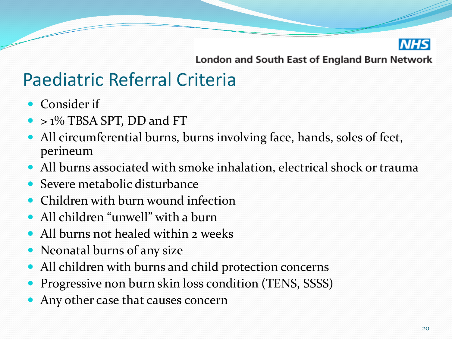

#### Paediatric Referral Criteria

- Consider if
- > 1% TBSA SPT, DD and FT
- All circumferential burns, burns involving face, hands, soles of feet, perineum
- All burns associated with smoke inhalation, electrical shock or trauma
- Severe metabolic disturbance
- Children with burn wound infection
- All children "unwell" with a burn
- All burns not healed within 2 weeks
- Neonatal burns of any size
- All children with burns and child protection concerns
- Progressive non burn skin loss condition (TENS, SSSS)
- Any other case that causes concern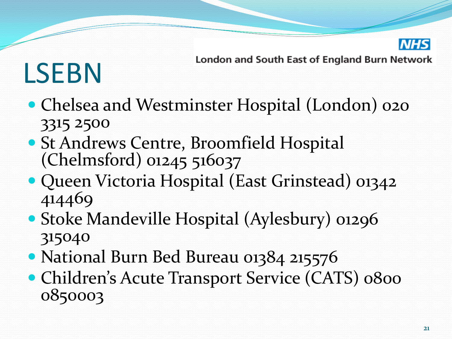

## LSEBN

- Chelsea and Westminster Hospital (London) 020 3315 2500
- St Andrews Centre, Broomfield Hospital (Chelmsford) 01245 516037
- Queen Victoria Hospital (East Grinstead) 01342 414469
- Stoke Mandeville Hospital (Aylesbury) 01296 315040
- National Burn Bed Bureau 01384 215576
- Children's Acute Transport Service (CATS) 0800 0850003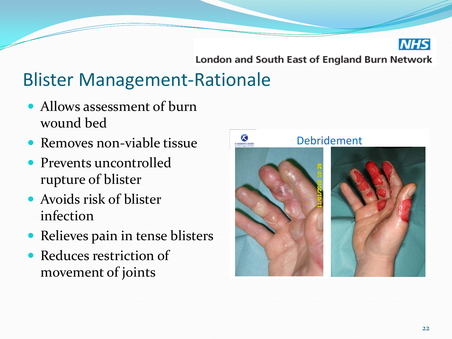

#### Blister Management-Rationale

- Allows assessment of burn wound bed
- Removes non-viable tissue
- Prevents uncontrolled rupture of blister
- Avoids risk of blister infection
- Relieves pain in tense blisters
- Reduces restriction of movement of joints

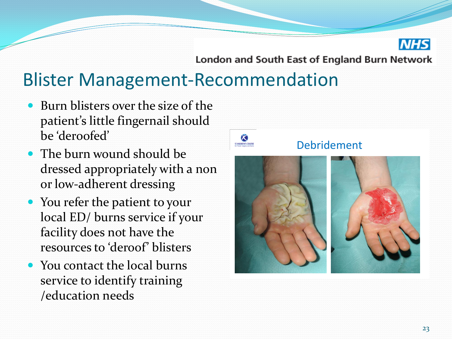

#### Blister Management-Recommendation

- Burn blisters over the size of the patient's little fingernail should be 'deroofed'
- The burn wound should be dressed appropriately with a non or low-adherent dressing
- You refer the patient to your local ED/ burns service if your facility does not have the resources to 'deroof' blisters
- You contact the local burns service to identify training

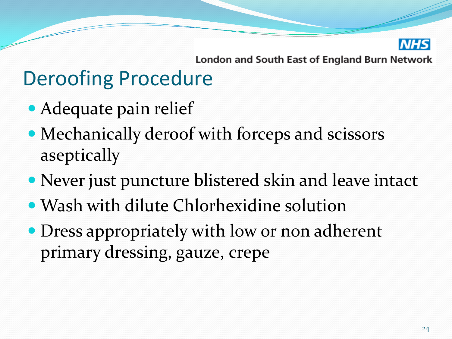

### Deroofing Procedure

- Adequate pain relief
- Mechanically deroof with forceps and scissors aseptically
- Never just puncture blistered skin and leave intact
- Wash with dilute Chlorhexidine solution
- Dress appropriately with low or non adherent primary dressing, gauze, crepe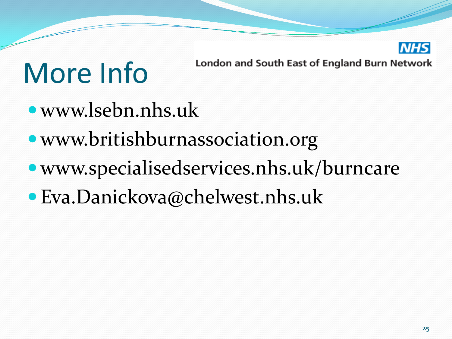

### More Info

- www.lsebn.nhs.uk
- www.britishburnassociation.org
- www.specialisedservices.nhs.uk/burncare
- Eva.Danickova@chelwest.nhs.uk